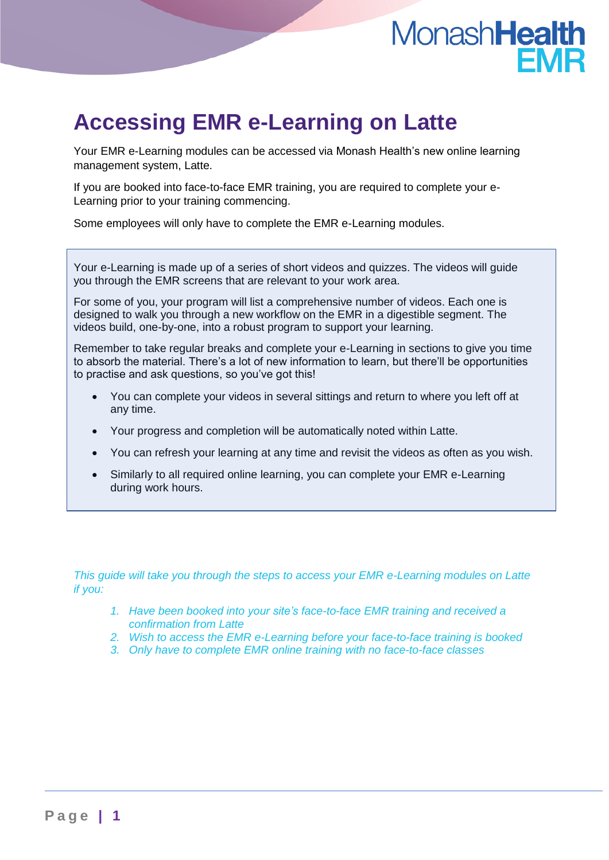# MonashHealth

## **Accessing EMR e-Learning on Latte**

Your EMR e-Learning modules can be accessed via Monash Health's new online learning management system, Latte.

If you are booked into face-to-face EMR training, you are required to complete your e-Learning prior to your training commencing.

Some employees will only have to complete the EMR e-Learning modules.

Your e-Learning is made up of a series of short videos and quizzes. The videos will guide you through the EMR screens that are relevant to your work area.

For some of you, your program will list a comprehensive number of videos. Each one is designed to walk you through a new workflow on the EMR in a digestible segment. The videos build, one-by-one, into a robust program to support your learning.

Remember to take regular breaks and complete your e-Learning in sections to give you time to absorb the material. There's a lot of new information to learn, but there'll be opportunities to practise and ask questions, so you've got this!

- You can complete your videos in several sittings and return to where you left off at any time.
- Your progress and completion will be automatically noted within Latte.
- You can refresh your learning at any time and revisit the videos as often as you wish.
- Similarly to all required online learning, you can complete your EMR e-Learning during work hours.

*This guide will take you through the steps to access your EMR e-Learning modules on Latte if you:*

- *1. Have been booked into your site's face-to-face EMR training and received a confirmation from Latte*
- *2. Wish to access the EMR e-Learning before your face-to-face training is booked*
- *3. Only have to complete EMR online training with no face-to-face classes*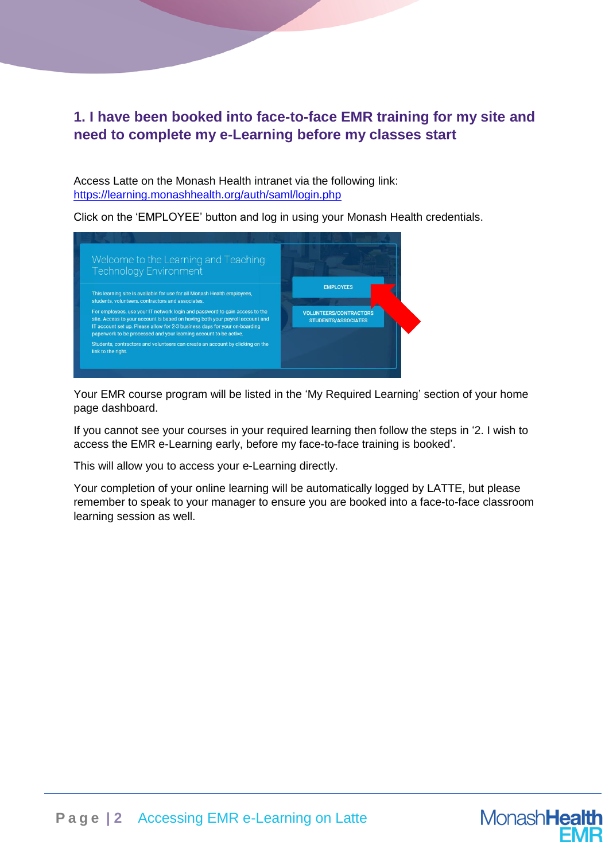### **1. I have been booked into face-to-face EMR training for my site and need to complete my e-Learning before my classes start**

Access Latte on the Monash Health intranet via the following link: <https://learning.monashhealth.org/auth/saml/login.php>

Click on the 'EMPLOYEE' button and log in using your Monash Health credentials.



Your EMR course program will be listed in the 'My Required Learning' section of your home page dashboard.

If you cannot see your courses in your required learning then follow the steps in '2. I wish to access the EMR e-Learning early, before my face-to-face training is booked'.

This will allow you to access your e-Learning directly.

Your completion of your online learning will be automatically logged by LATTE, but please remember to speak to your manager to ensure you are booked into a face-to-face classroom learning session as well.

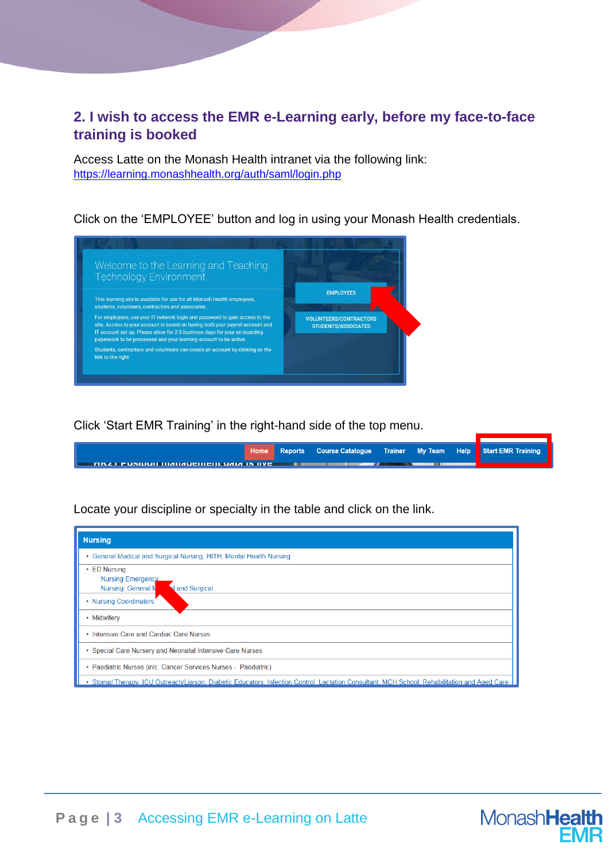#### **2. I wish to access the EMR e-Learning early, before my face-to-face training is booked**

Access Latte on the Monash Health intranet via the following link: <https://learning.monashhealth.org/auth/saml/login.php>

Click on the 'EMPLOYEE' button and log in using your Monash Health credentials.



Click 'Start EMR Training' in the right-hand side of the top menu.

|                                                                                                                       |  |  | Home Reports Course Catalogue Trainer My Team Help Start EMR Training |
|-----------------------------------------------------------------------------------------------------------------------|--|--|-----------------------------------------------------------------------|
| <b>TITLE IN THE TERM IN THE TIME IN THE TERM</b> IS THE TERM IN THE TERM IN THE TERM IN THE TERM IN THE TERM IN THE T |  |  |                                                                       |

Locate your discipline or specialty in the table and click on the link.

| <b>Nursing</b>                                                                                                                                |
|-----------------------------------------------------------------------------------------------------------------------------------------------|
| • General Medical and Surgical Nursing, HITH, Mental Health Nursing                                                                           |
| • ED Nursing<br><b>Nursing Emergency</b><br><b>Nursing: General N</b><br>al and Surgical                                                      |
| • Nursing Coordinators                                                                                                                        |
| • Midwifery                                                                                                                                   |
| • Intensive Care and Cardiac Care Nurses                                                                                                      |
| • Special Care Nursery and Neonatal Intensive Care Nurses                                                                                     |
| • Paediatric Nurses (inlc. Cancer Services Nurses - Paediatric)                                                                               |
| . Stomal Therapy, ICU Outreach/Liaison, Diabetic Educators, Infection Control, Lactation Consultant, MCH School, Rehabilitation and Aged Care |

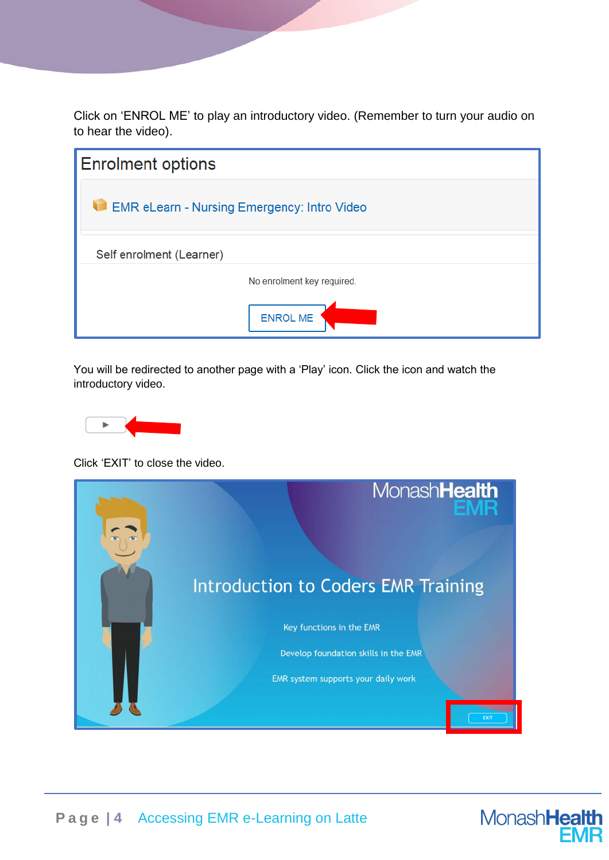Click on 'ENROL ME' to play an introductory video. (Remember to turn your audio on to hear the video).

| <b>Enrolment options</b>                           |
|----------------------------------------------------|
| <b>EMR eLearn - Nursing Emergency: Intro Video</b> |
| Self enrolment (Learner)                           |
| No enrolment key required.                         |
| <b>ENROL ME</b>                                    |

You will be redirected to another page with a 'Play' icon. Click the icon and watch the introductory video.



Click 'EXIT' to close the video.



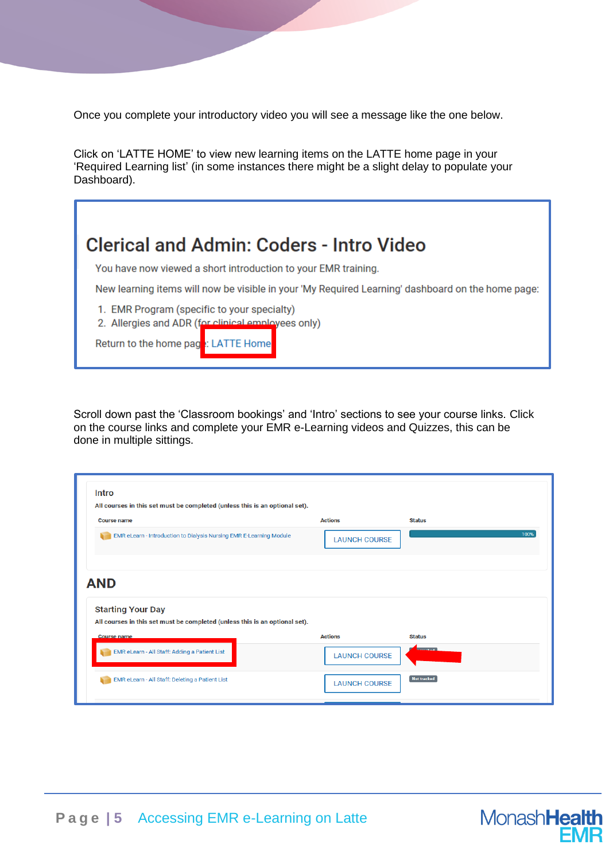Once you complete your introductory video you will see a message like the one below.

Click on 'LATTE HOME' to view new learning items on the LATTE home page in your 'Required Learning list' (in some instances there might be a slight delay to populate your Dashboard).

You have now viewed a short introduction to your EMR training.

New learning items will now be visible in your 'My Required Learning' dashboard on the home page:

1. EMR Program (specific to your specialty)

2. Allergies and ADR (for clinical employees only)

Return to the home page: LATTE Home

Scroll down past the 'Classroom bookings' and 'Intro' sections to see your course links. Click on the course links and complete your EMR e-Learning videos and Quizzes, this can be done in multiple sittings.

| <b>Intro</b>                                                                                                                                |                                                         |      |
|---------------------------------------------------------------------------------------------------------------------------------------------|---------------------------------------------------------|------|
| All courses in this set must be completed (unless this is an optional set).                                                                 |                                                         |      |
| <b>Course name</b>                                                                                                                          | <b>Actions</b><br><b>Status</b>                         |      |
| EMR eLearn - Introduction to Dialysis Nursing EMR E-Learning Module                                                                         | <b>LAUNCH COURSE</b>                                    | 100% |
|                                                                                                                                             |                                                         |      |
| <b>AND</b><br><b>Starting Your Day</b><br>All courses in this set must be completed (unless this is an optional set).<br><b>Course name</b> | <b>Actions</b><br><b>Status</b>                         |      |
| EMR eLearn - All Staff: Adding a Patient List                                                                                               | <b><i><u>Experience</u></i></b><br><b>LAUNCH COURSE</b> |      |